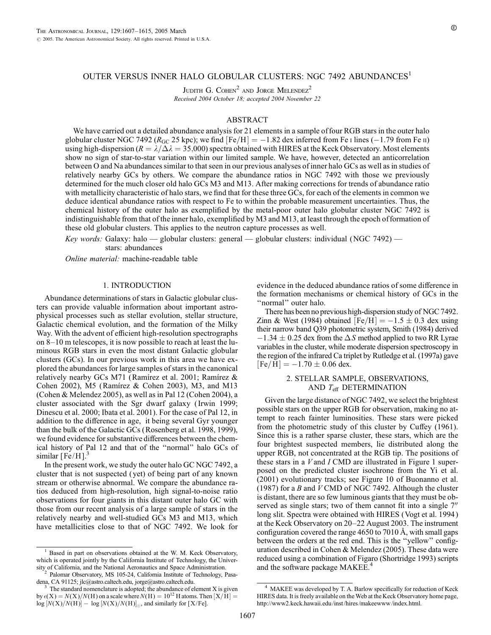JUDITH G. COHEN<sup>2</sup> AND JORGE MELENDEZ<sup>2</sup> Received 2004 October 18; accepted 2004 November 22

#### ABSTRACT

We have carried out a detailed abundance analysis for 21 elements in a sample of four RGB stars in the outer halo globular cluster NGC 7492 ( $R_{\text{GC}}$  25 kpc); we find [Fe/H] = -1.82 dex inferred from Fe i lines (-1.79 from Fe ii) using high-dispersion ( $R = \lambda/\Delta\lambda = 35,000$ ) spectra obtained with HIRES at the Keck Observatory. Most elements show no sign of star-to-star variation within our limited sample. We have, however, detected an anticorrelation between O and Na abundances similar to that seen in our previous analyses of inner halo GCs as well as in studies of relatively nearby GCs by others. We compare the abundance ratios in NGC 7492 with those we previously determined for the much closer old halo GCs M3 and M13. After making corrections for trends of abundance ratio with metallicity characteristic of halo stars, we find that for these three GCs, for each of the elements in common we deduce identical abundance ratios with respect to Fe to within the probable measurement uncertainties. Thus, the chemical history of the outer halo as exemplified by the metal-poor outer halo globular cluster NGC 7492 is indistinguishable from that of the inner halo, exemplified by M3 and M13, at least through the epoch of formation of these old globular clusters. This applies to the neutron capture processes as well.

Key words: Galaxy: halo  $-$  globular clusters: general  $-$  globular clusters: individual (NGC 7492)  $$ stars: abundances

Online material: machine-readable table

## 1. INTRODUCTION

Abundance determinations of stars in Galactic globular clusters can provide valuable information about important astrophysical processes such as stellar evolution, stellar structure, Galactic chemical evolution, and the formation of the Milky Way. With the advent of efficient high-resolution spectrographs on 8–10 m telescopes, it is now possible to reach at least the luminous RGB stars in even the most distant Galactic globular clusters (GCs). In our previous work in this area we have explored the abundances for large samples of stars in the canonical relatively nearby GCs M71 (Ramírez et al. 2001; Ramírez & Cohen 2002), M5 (Ramírez & Cohen 2003), M3, and M13 (Cohen & Melendez 2005), as well as in Pal 12 (Cohen 2004), a cluster associated with the Sgr dwarf galaxy ( Irwin 1999; Dinescu et al. 2000; Ibata et al. 2001). For the case of Pal 12, in addition to the difference in age, it being several Gyr younger than the bulk of the Galactic GCs (Rosenberg et al. 1998, 1999), we found evidence for substantive differences between the chemical history of Pal 12 and that of the ''normal'' halo GCs of similar  $[Fe/H]$ .<sup>3</sup>

In the present work, we study the outer halo GC NGC 7492, a cluster that is not suspected ( yet) of being part of any known stream or otherwise abnormal. We compare the abundance ratios deduced from high-resolution, high signal-to-noise ratio observations for four giants in this distant outer halo GC with those from our recent analysis of a large sample of stars in the relatively nearby and well-studied GCs M3 and M13, which have metallicities close to that of NGC 7492. We look for

evidence in the deduced abundance ratios of some difference in the formation mechanisms or chemical history of GCs in the ''normal'' outer halo.

There has been no previous high-dispersion study of NGC 7492. Zinn & West (1984) obtained  $[Fe/H] = -1.5 \pm 0.3$  dex using their narrow band Q39 photometric system, Smith (1984) derived  $-1.34 \pm 0.25$  dex from the  $\Delta S$  method applied to two RR Lyrae variables in the cluster, while moderate dispersion spectroscopy in the region of the infrared Ca triplet by Rutledge et al. (1997a) gave  $[Fe/H] = -1.70 \pm 0.06$  dex.

# 2. STELLAR SAMPLE, OBSERVATIONS, AND  $T_{\text{eff}}$  DETERMINATION

Given the large distance of NGC 7492, we select the brightest possible stars on the upper RGB for observation, making no attempt to reach fainter luminosities. These stars were picked from the photometric study of this cluster by Cuffey (1961). Since this is a rather sparse cluster, these stars, which are the four brightest suspected members, lie distributed along the upper RGB, not concentrated at the RGB tip. The positions of these stars in a  $V$  and  $I$  CMD are illustrated in Figure 1 superposed on the predicted cluster isochrone from the Yi et al. (2001) evolutionary tracks; see Figure 10 of Buonanno et al. (1987) for a B and  $V$  CMD of NGC 7492. Although the cluster is distant, there are so few luminous giants that they must be observed as single stars; two of them cannot fit into a single  $7<sup>′</sup>$ long slit. Spectra were obtained with HIRES (Vogt et al. 1994 ) at the Keck Observatory on 20–22 August 2003. The instrument configuration covered the range  $4650$  to  $7010$  Å, with small gaps between the orders at the red end. This is the ''yellow'' configuration described in Cohen & Melendez (2005). These data were reduced using a combination of Figaro (Shortridge 1993) scripts and the software package MAKEE.<sup>4</sup>

<sup>&</sup>lt;sup>1</sup> Based in part on observations obtained at the W. M. Keck Observatory, which is operated jointly by the California Institute of Technology, the Univer-

sity of California, and the National Aeronautics and Space Administration.<br><sup>2</sup> Palomar Observatory, MS 105-24, California Institute of Technology, Pasa-<br>dena, CA 91125; jlc@astro.caltech.edu, jorge@astro.caltech.edu.

The standard nomenclature is adopted; the abundance of element X is given by  $\epsilon(X) = N(X)/N(H)$  on a scale where  $N(H) = 10^{12}$  H atoms. Then  $[X/H] =$  $log[N(X)/N(H)] - log[N(X)/N(H)]_{\odot}$ , and similarly for [X/Fe].

MAKEE was developed by T. A. Barlow specifically for reduction of Keck HIRES data. It is freely available on the Web at the Keck Observatory home page, http://www2.keck.hawaii.edu/inst/hires/makeewww/index.html.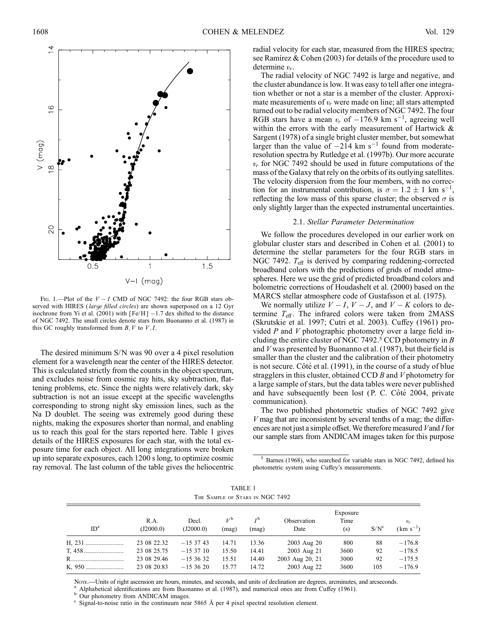

FIG. 1.—Plot of the  $V - I$  CMD of NGC 7492: the four RGB stars observed with HIRES (large filled circles) are shown superposed on a 12 Gyr isochrone from Yi et al.  $(2001)$  with  $[Fe/H]$  -1.7 dex shifted to the distance of NGC 7492. The small circles denote stars from Buonanno et al. (1987) in this GC roughly transformed from  $B, V$  to  $V, I$ .

The desired minimum S/N was 90 over a 4 pixel resolution element for a wavelength near the center of the HIRES detector. This is calculated strictly from the counts in the object spectrum, and excludes noise from cosmic ray hits, sky subtraction, flattening problems, etc. Since the nights were relatively dark, sky subtraction is not an issue except at the specific wavelengths corresponding to strong night sky emission lines, such as the Na D doublet. The seeing was extremely good during these nights, making the exposures shorter than normal, and enabling us to reach this goal for the stars reported here. Table 1 gives details of the HIRES exposures for each star, with the total exposure time for each object. All long integrations were broken up into separate exposures, each 1200 s long, to optimize cosmic ray removal. The last column of the table gives the heliocentric

radial velocity for each star, measured from the HIRES spectra; see Rami'rez & Cohen (2003) for details of the procedure used to determine  $v_r$ .

The radial velocity of NGC 7492 is large and negative, and the cluster abundance is low. It was easy to tell after one integration whether or not a star is a member of the cluster. Approximate measurements of  $v_r$  were made on line; all stars attempted turned out to be radial velocity members of NGC 7492. The four RGB stars have a mean  $v_r$  of  $-176.9$  km s<sup>-1</sup>, agreeing well within the errors with the early measurement of Hartwick & Sargent (1978) of a single bright cluster member, but somewhat larger than the value of  $-214$  km s<sup>-1</sup> found from moderateresolution spectra by Rutledge et al. (1997b). Our more accurate  $v_r$  for NGC 7492 should be used in future computations of the mass of the Galaxy that rely on the orbits of its outlying satellites. The velocity dispersion from the four members, with no correction for an instrumental contribution, is  $\sigma = 1.2 \pm 1$  km s<sup>-1</sup>, reflecting the low mass of this sparse cluster; the observed  $\sigma$  is only slightly larger than the expected instrumental uncertainties.

#### 2.1. Stellar Parameter Determination

We follow the procedures developed in our earlier work on globular cluster stars and described in Cohen et al. (2001) to determine the stellar parameters for the four RGB stars in NGC 7492.  $T_{\text{eff}}$  is derived by comparing reddening-corrected broadband colors with the predictions of grids of model atmospheres. Here we use the grid of predicted broadband colors and bolometric corrections of Houdashelt et al. (2000) based on the MARCS stellar atmosphere code of Gustafsson et al. (1975).

We normally utilize  $V - I$ ,  $V - J$ , and  $V - K$  colors to determine  $T_{\text{eff}}$ . The infrared colors were taken from 2MASS (Skrutskie et al. 1997; Cutri et al. 2003). Cuffey (1961) provided  $P$  and  $V$  photographic photometry over a large field including the entire cluster of NGC 7492.<sup>5</sup> CCD photometry in B and V was presented by Buonanno et al. (1987), but their field is smaller than the cluster and the calibration of their photometry is not secure. Côté et al. (1991), in the course of a study of blue stragglers in this cluster, obtained CCD B and V photometry for a large sample of stars, but the data tables were never published and have subsequently been lost (P. C. Côté 2004, private communication).

The two published photometric studies of NGC 7492 give  $V$  mag that are inconsistent by several tenths of a mag; the differences are not just a simple offset. We therefore measured  $V$  and  $I$  for our sample stars from ANDICAM images taken for this purpose

<sup>5</sup> Barnes (1968), who searched for variable stars in NGC 7492, defined his photometric system using Cuffey's measurements.

TABLE 1 The Sample of Stars in NGC 7492

| ID <sup>a</sup> | R.A.<br>(J2000.0) | Decl.<br>(J2000.0) | $V^{\mathfrak{b}}$<br>(mag) | $I^{\rm b}$<br>(mag) | Observation<br>Date | Exposure<br>Time<br>(s) | $S/N^c$ | $v_r$<br>$(km s^{-1})$ |
|-----------------|-------------------|--------------------|-----------------------------|----------------------|---------------------|-------------------------|---------|------------------------|
|                 | 23 08 22.32       | $-153743$          | 14.71                       | 13.36                | 2003 Aug 20         | 800                     | 88      | $-176.8$               |
|                 | 23 08 25.75       | $-153710$          | 15.50                       | 14.41                | 2003 Aug 21         | 3600                    | 92      | $-178.5$               |
|                 | 23 08 29.46       | $-153632$          | 15.51                       | 14.40                | 2003 Aug 20, 21     | 3000                    | 92      | $-175.5$               |
|                 | 23 08 20.83       | $-153620$          | 15.77                       | 14.72                | 2003 Aug 22         | 3600                    | 105     | $-176.9$               |

Nore.—Units of right ascension are hours, minutes, and seconds, and units of declination are degrees, arcminutes, and arcseconds.<br><sup>a</sup> Alphabetical identifications are from Buonanno et al. (1987), and numerical ones are fro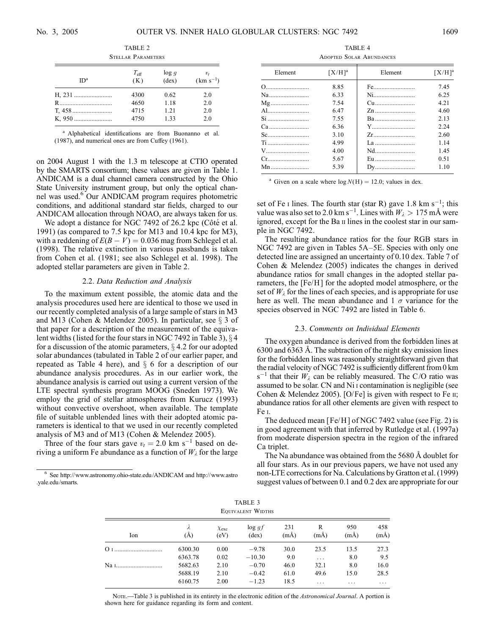| 91 ELLAR 1 ARAMETERS |                      |                         |                        |  |  |  |  |  |
|----------------------|----------------------|-------------------------|------------------------|--|--|--|--|--|
| ID <sup>a</sup>      | $T_{\rm eff}$<br>(K) | log q<br>$(\text{dex})$ | $v_t$<br>$(km s^{-1})$ |  |  |  |  |  |
| H, 231               | 4300                 | 0.62                    | 2.0                    |  |  |  |  |  |
|                      | 4650                 | 1.18                    | 2.0                    |  |  |  |  |  |
|                      | 4715                 | 1.21                    | 2.0                    |  |  |  |  |  |
| K. 950               | 4750                 | 1.33                    | 2.0                    |  |  |  |  |  |

TABLE 2 Stellar Parameters

<sup>a</sup> Alphabetical identifications are from Buonanno et al. (1987), and numerical ones are from Cuffey (1961).

on 2004 August 1 with the 1.3 m telescope at CTIO operated by the SMARTS consortium; these values are given in Table 1. ANDICAM is a dual channel camera constructed by the Ohio State University instrument group, but only the optical channel was used.<sup>6</sup> Our ANDICAM program requires photometric conditions, and additional standard star fields, charged to our ANDICAM allocation through NOAO, are always taken for us.

We adopt a distance for NGC 7492 of 26.2 kpc (Côté et al. 1991) (as compared to 7.5 kpc for M13 and 10.4 kpc for M3), with a reddening of  $E(B - V) = 0.036$  mag from Schlegel et al. (1998). The relative extinction in various passbands is taken from Cohen et al. (1981; see also Schlegel et al. 1998). The adopted stellar parameters are given in Table 2.

## 2.2. Data Reduction and Analysis

To the maximum extent possible, the atomic data and the analysis procedures used here are identical to those we used in our recently completed analysis of a large sample of stars in M3 and M13 (Cohen & Melendez 2005). In particular, see  $\S$  3 of that paper for a description of the measurement of the equivalent widths (listed for the four stars in NGC 7492 in Table 3),  $\S$  4 for a discussion of the atomic parameters,  $\S 4.2$  for our adopted solar abundances (tabulated in Table 2 of our earlier paper, and repeated as Table 4 here), and  $\S$  6 for a description of our abundance analysis procedures. As in our earlier work, the abundance analysis is carried out using a current version of the LTE spectral synthesis program MOOG (Sneden 1973). We employ the grid of stellar atmospheres from Kurucz (1993) without convective overshoot, when available. The template file of suitable unblended lines with their adopted atomic parameters is identical to that we used in our recently completed analysis of M3 and of M13 (Cohen & Melendez 2005).

Three of the four stars gave  $v_t = 2.0 \text{ km s}^{-1}$  based on deriving a uniform Fe abundance as a function of  $W_{\lambda}$  for the large

TABLE 4 Adopted Solar Abundances

| Element                                                              | $[X/H]^a$ | Element | $[X/H]^a$ |  |
|----------------------------------------------------------------------|-----------|---------|-----------|--|
| 0                                                                    | 8.85      | Fe      | 7.45      |  |
| Na                                                                   | 6.33      | Ni      | 6.25      |  |
| $Mg$                                                                 | 7.54      | Cu      | 4 2 1     |  |
| Al                                                                   | 6.47      | Zn      | 4.60      |  |
| Si                                                                   | 7.55      | Ba      | 2.13      |  |
|                                                                      | 6.36      | Y       | 2.24      |  |
|                                                                      | 3.10      | Zr      | 2.60      |  |
| Ti                                                                   | 4.99      |         | 1 1 4     |  |
| V                                                                    | 4.00      | Nd      | 145       |  |
| $Cr_{1}, \ldots, r_{n}, \ldots, r_{n}, \ldots, r_{n}, \ldots, r_{n}$ | 5.67      | Eu      | 0.51      |  |
| $Mn$                                                                 | 5.39      | $Dv$    | 110       |  |

<sup>a</sup> Given on a scale where  $log N(H) = 12.0$ ; values in dex.

set of Fe I lines. The fourth star (star R) gave  $1.8 \text{ km s}^{-1}$ ; this value was also set to 2.0 km s<sup>-1</sup>. Lines with  $W_{\lambda} > 175$  mÅ were ignored, except for the Ba ii lines in the coolest star in our sample in NGC 7492.

The resulting abundance ratios for the four RGB stars in NGC 7492 are given in Tables 5A–5E. Species with only one detected line are assigned an uncertainty of 0.10 dex. Table 7 of Cohen & Melendez (2005) indicates the changes in derived abundance ratios for small changes in the adopted stellar parameters, the [Fe/H] for the adopted model atmosphere, or the set of  $W_{\lambda}$  for the lines of each species, and is appropriate for use here as well. The mean abundance and  $1 \sigma$  variance for the species observed in NGC 7492 are listed in Table 6.

#### 2.3. Comments on Individual Elements

The oxygen abundance is derived from the forbidden lines at 6300 and 6363 8. The subtraction of the night sky emission lines for the forbidden lines was reasonably straightforward given that the radial velocity of NGC 7492 is sufficiently different from 0 km  $s^{-1}$  that their  $W_{\lambda}$  can be reliably measured. The C/O ratio was assumed to be solar. CN and Ni i contamination is negligible (see Cohen & Melendez 2005). [O/Fe] is given with respect to Fe  $\pi$ ; abundance ratios for all other elements are given with respect to Fe i.

The deduced mean [Fe/H] of NGC 7492 value (see Fig. 2) is in good agreement with that inferred by Rutledge et al. (1997a) from moderate dispersion spectra in the region of the infrared Ca triplet.

The Na abundance was obtained from the  $5680 \text{ Å}$  doublet for all four stars. As in our previous papers, we have not used any non-LTE corrections for Na. Calculations by Gratton et al. (1999) suggest values of between 0.1 and 0.2 dex are appropriate for our

| TABLE 3<br>EQUIVALENT WIDTHS                                                                                                                              |              |                    |              |           |                  |           |  |  |  |  |
|-----------------------------------------------------------------------------------------------------------------------------------------------------------|--------------|--------------------|--------------|-----------|------------------|-----------|--|--|--|--|
| 950<br>458<br>231<br>R<br>$\log gf$<br>λ<br>$\chi_{\mathrm{exc}}$<br>$(m\AA)$<br>$(m\AA)$<br>$(m\AA)$<br>$(m\AA)$<br>(Å)<br>$(\text{dex})$<br>(eV)<br>Ion |              |                    |              |           |                  |           |  |  |  |  |
| 6300.30                                                                                                                                                   | 0.00         | $-9.78$            | 30.0         | 23.5      | 13.5             | 27.3      |  |  |  |  |
| 6363.78                                                                                                                                                   | 0.02         | $-10.30$           | 9.0          | $\cdots$  | 8.0              | 9.5       |  |  |  |  |
| 5682.63                                                                                                                                                   | 2.10         | $-0.70$            | 46.0         | 32.1      | 8.0              | 16.0      |  |  |  |  |
| 5688.19<br>6160.75                                                                                                                                        | 2.10<br>2.00 | $-0.42$<br>$-1.23$ | 61.0<br>18.5 | 49.6<br>. | 15.0<br>$\cdots$ | 28.5<br>. |  |  |  |  |
|                                                                                                                                                           |              |                    |              |           |                  |           |  |  |  |  |

Nore.—Table 3 is published in its entirety in the electronic edition of the Astronomical Journal. A portion is shown here for guidance regarding its form and content.

<sup>6</sup> See http://www.astronomy.ohio-state.edu/ANDICAM and http://www.astro .yale.edu/smarts.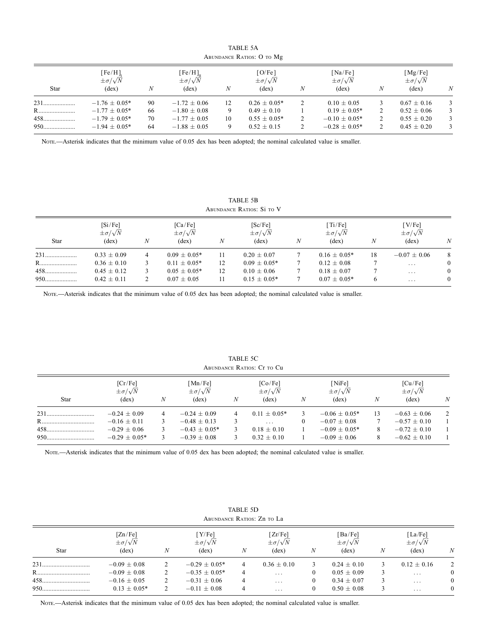|      | ABUNDANCE RATIOS: O TO Mg                           |    |                                                                |    |                                                     |   |                                                          |   |                                           |   |
|------|-----------------------------------------------------|----|----------------------------------------------------------------|----|-----------------------------------------------------|---|----------------------------------------------------------|---|-------------------------------------------|---|
| Star | [Fe/H]<br>$\pm \sigma / \sqrt{N}$<br>$(\text{dex})$ | N  | $[Fe/H]_{\ldots}$<br>$\pm \sigma / \sqrt{N}$<br>$(\text{dex})$ | Ν  | [O/Fe]<br>$\pm \sigma / \sqrt{N}$<br>$(\text{dex})$ | N | $\lceil Na/Fe\rceil$<br>$\pm \sigma / \sqrt{N}$<br>(dex) | N | [Mg/Fe]<br>$\pm \sigma/\sqrt{N}$<br>(dex) | N |
| 231  | $-1.76 \pm 0.05*$                                   | 90 | $-1.72 \pm 0.06$                                               | 12 | $0.26 \pm 0.05*$                                    |   | $0.10 \pm 0.05$                                          |   | $0.67 \pm 0.16$                           | 3 |
| R    | $-1.77 \pm 0.05*$                                   | 66 | $-1.80 \pm 0.08$                                               | 9  | $0.49 \pm 0.10$                                     |   | $0.19 \pm 0.05*$                                         |   | $0.52 \pm 0.06$                           | 3 |
|      | $-1.79 \pm 0.05*$                                   | 70 | $-1.77 \pm 0.05$                                               | 10 | $0.55 \pm 0.05*$                                    | 2 | $-0.10 \pm 0.05*$                                        |   | $0.55 \pm 0.20$                           | 3 |
| 950  | $-1.94 \pm 0.05*$                                   | 64 | $-1.88 \pm 0.05$                                               | Q  | $0.52 \pm 0.15$                                     | 2 | $-0.28 \pm 0.05*$                                        |   | $0.45 \pm 0.20$                           | 3 |

TABLE 5A

Nore.—Asterisk indicates that the minimum value of 0.05 dex has been adopted; the nominal calculated value is smaller.

TABLE 5B Abundance Ratios: Si to V

|             | [Si/Fe]<br>$\pm \sigma / \sqrt{N}$ |   | [Ca/Fe]<br>$\pm \sigma / \sqrt{N}$ |    | [Sc/Fe]<br>$\pm \sigma / \sqrt{N}$ |   | $\lceil \text{Ti}/\text{Fe} \rceil$<br>$\pm \sigma / \sqrt{N}$ |    | [V/Fe]<br>$\pm \sigma / \sqrt{N}$ |              |
|-------------|------------------------------------|---|------------------------------------|----|------------------------------------|---|----------------------------------------------------------------|----|-----------------------------------|--------------|
| <b>Star</b> | (dex)                              | N | $(\text{dex})$                     | N  | $(\text{dex})$                     | N | $(\text{dex})$                                                 | N  | (dex)                             | N            |
| 231         | $0.33 \pm 0.09$                    | 4 | $0.09 \pm 0.05*$                   | 11 | $0.20 + 0.07$                      |   | $0.16 + 0.05*$                                                 | 18 | $-0.07 \pm 0.06$                  | 8            |
| R           | $0.36 \pm 0.10$                    |   | $0.11 \pm 0.05*$                   | 12 | $0.09 \pm 0.05*$                   |   | $0.12 \pm 0.08$                                                |    | .                                 | $\mathbf{0}$ |
| $458$       | $0.45 \pm 0.12$                    |   | $0.05 \pm 0.05*$                   | 12 | $0.10 \pm 0.06$                    |   | $0.18 \pm 0.07$                                                |    | .                                 | $\mathbf{0}$ |
| 950         | $0.42 \pm 0.11$                    |   | $0.07 + 0.05$                      | 11 | $0.15 + 0.05*$                     |   | $0.07 + 0.05*$                                                 |    | $\cdot$                           | $\mathbf{0}$ |

Nore.—Asterisk indicates that the minimum value of 0.05 dex has been adopted; the nominal calculated value is smaller.

|      | ABUNDANCE INATIOS. CL TO CU                                             |   |                                                                           |   |                                                                |              |                                                                            |              |                                                                            |               |
|------|-------------------------------------------------------------------------|---|---------------------------------------------------------------------------|---|----------------------------------------------------------------|--------------|----------------------------------------------------------------------------|--------------|----------------------------------------------------------------------------|---------------|
| Star | [Cr/Fe]<br>$\pm \sigma/\sqrt{N}$<br>(dex)                               | N | [Mn/Fe]<br>$\pm \sigma/\sqrt{N}$<br>$(\text{dex})$                        | N | [Co/Fe]<br>$\pm \sigma/\sqrt{N}$<br>$(\text{dex})$             | N            | [NiFe]<br>$\pm \sigma/\sqrt{N}$<br>$(\text{dex})$                          | N            | [Cu/Fe]<br>$\pm \sigma/\sqrt{N}$<br>(dex)                                  | N             |
| 458  | $-0.24 + 0.09$<br>$-0.16 \pm 0.11$<br>$-0.29 + 0.06$<br>$-0.29 + 0.05*$ | 4 | $-0.24 + 0.09$<br>$-0.48 \pm 0.13$<br>$-0.43 \pm 0.05*$<br>$-0.39 + 0.08$ | 4 | $0.11 + 0.05*$<br>$\cdots$<br>$0.18 + 0.10$<br>$0.32 \pm 0.10$ | $\mathbf{0}$ | $-0.06 + 0.05*$<br>$-0.07 \pm 0.08$<br>$-0.09 + 0.05*$<br>$-0.09 \pm 0.06$ | 13<br>8<br>8 | $-0.63 + 0.06$<br>$-0.57 \pm 0.10$<br>$-0.72 \pm 0.10$<br>$-0.62 \pm 0.10$ | $\mathcal{D}$ |

TABLE 5C Abundance Ratios: Cr to Cu

Nore.—Asterisk indicates that the minimum value of 0.05 dex has been adopted; the nominal calculated value is smaller.

| ABUNDANCE RATIOS: Zn TO La |                                                    |   |                                                     |   |                                                                  |          |                                                      |   |                                                    |              |
|----------------------------|----------------------------------------------------|---|-----------------------------------------------------|---|------------------------------------------------------------------|----------|------------------------------------------------------|---|----------------------------------------------------|--------------|
| <b>Star</b>                | [Zn/Fe]<br>$\pm \sigma/\sqrt{N}$<br>$(\text{dex})$ | N | [Y/Fe]<br>$\pm \sigma / \sqrt{N}$<br>$(\text{dex})$ | N | $\lceil Zr/Fe \rceil$<br>$\pm \sigma/\sqrt{N}$<br>$(\text{dex})$ | N        | [Ba/Fe]<br>$\pm \sigma / \sqrt{N}$<br>$(\text{dex})$ | N | [La/Fe]<br>$\pm \sigma/\sqrt{N}$<br>$(\text{dex})$ | N            |
|                            | $-0.09 \pm 0.08$                                   |   | $-0.29 \pm 0.05*$                                   | 4 | $0.36 + 0.10$                                                    | 3        | $0.24 + 0.10$                                        |   | $0.12 \pm 0.16$                                    | 2            |
|                            | $-0.09 \pm 0.08$                                   |   | $-0.35 \pm 0.05*$                                   | 4 | $\cdot$ $\cdot$ $\cdot$                                          | $\theta$ | $0.05 \pm 0.09$                                      |   | $\cdot$ $\cdot$ $\cdot$                            | $\mathbf{0}$ |
| 458                        | $-0.16 \pm 0.05$                                   |   | $-0.31 \pm 0.06$                                    | 4 | .                                                                | 0        | $0.34 \pm 0.07$                                      |   | $\cdot$ $\cdot$ $\cdot$                            | $\mathbf{0}$ |
| 950                        | $0.13 \pm 0.05*$                                   |   | $-0.11 + 0.08$                                      |   | $\cdot$ $\cdot$ $\cdot$                                          | 0        | $0.50 \pm 0.08$                                      | 3 | $\cdot$ $\cdot$ $\cdot$                            | $\mathbf{0}$ |

TABLE 5D

Nore.—Asterisk indicates that the minimum value of 0.05 dex has been adopted; the nominal calculated value is smaller.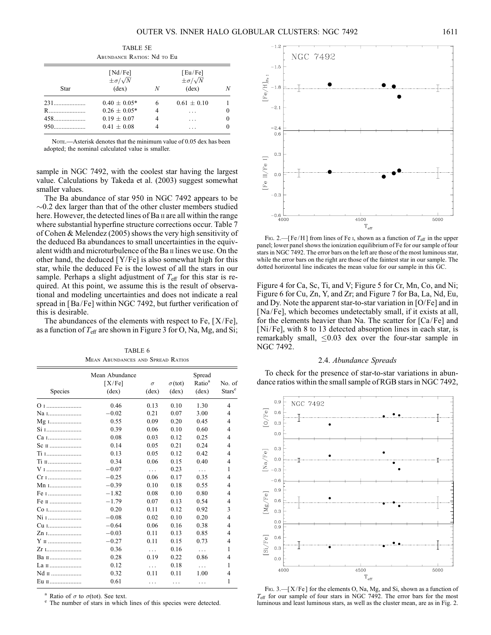| TABLE 5E<br>ABUNDANCE RATIOS: Nd TO Eu                                                                                |                  |   |               |  |  |  |  |  |
|-----------------------------------------------------------------------------------------------------------------------|------------------|---|---------------|--|--|--|--|--|
| [Nd/Fe]<br>[Eu/Fe]<br>$\pm \sigma/\sqrt{N}$<br>$\pm \sigma/\sqrt{N}$<br>$(\text{dex})$<br>$(\text{dex})$<br>Star<br>N |                  |   |               |  |  |  |  |  |
|                                                                                                                       | $0.40 + 0.05*$   | 6 | $0.61 + 0.10$ |  |  |  |  |  |
| R                                                                                                                     | $0.26 \pm 0.05*$ | 4 | .             |  |  |  |  |  |
|                                                                                                                       | $0.19 \pm 0.07$  | 4 |               |  |  |  |  |  |
|                                                                                                                       | $0.41 + 0.08$    |   |               |  |  |  |  |  |

Note.—Asterisk denotes that the minimum value of 0.05 dex has been adopted; the nominal calculated value is smaller.

sample in NGC 7492, with the coolest star having the largest value. Calculations by Takeda et al. (2003) suggest somewhat smaller values.

The Ba abundance of star 950 in NGC 7492 appears to be  $\sim$ 0.2 dex larger than that of the other cluster members studied here. However, the detected lines of Ba II are all within the range where substantial hyperfine structure corrections occur. Table 7 of Cohen & Melendez (2005) shows the very high sensitivity of the deduced Ba abundances to small uncertainties in the equivalent width and microturbulence of the Ba ii lines we use. On the other hand, the deduced [Y/Fe] is also somewhat high for this star, while the deduced Fe is the lowest of all the stars in our sample. Perhaps a slight adjustment of  $T_{\text{eff}}$  for this star is required. At this point, we assume this is the result of observational and modeling uncertainties and does not indicate a real spread in [Ba/Fe] within NGC 7492, but further verification of this is desirable.

The abundances of the elements with respect to Fe,  $[X/Fe]$ , as a function of  $T_{\text{eff}}$  are shown in Figure 3 for O, Na, Mg, and Si;

TABLE 6 Mean Abundances and Spread Ratios

| Species        | Mean Abundance<br>[X/Fe]<br>$(\text{dex})$ | $\sigma$<br>$(\text{dex})$ | $\sigma$ (tot)<br>$(\text{dex})$ | Spread<br>Ratio <sup>a</sup><br>$(\text{dex})$ | No. of<br>Stars <sup>e</sup> |
|----------------|--------------------------------------------|----------------------------|----------------------------------|------------------------------------------------|------------------------------|
|                | 0.46                                       | 0.13                       | 0.10                             | 1.30                                           | 4                            |
| Na 1           | $-0.02$                                    | 0.21                       | 0.07                             | 3.00                                           | 4                            |
| Mg 1           | 0.55                                       | 0.09                       | 0.20                             | 0.45                                           | 4                            |
| Si 1           | 0.39                                       | 0.06                       | 0.10                             | 0.60                                           | 4                            |
| Ca 1           | 0.08                                       | 0.03                       | 0.12                             | 0.25                                           | 4                            |
| Sc II          | 0.14                                       | 0.05                       | 0.21                             | 0.24                                           | 4                            |
| Ti 1           | 0.13                                       | 0.05                       | 0.12                             | 0.42                                           | 4                            |
| Ті п           | 0.34                                       | 0.06                       | 0.15                             | 0.40                                           | 4                            |
| V <sub>I</sub> | $-0.07$                                    | $\cdots$                   | 0.23                             | .                                              | 1                            |
|                | $-0.25$                                    | 0.06                       | 0.17                             | 0.35                                           | $\overline{4}$               |
| Mn I           | $-0.39$                                    | 0.10                       | 0.18                             | 0.55                                           | 4                            |
| Fe 1           | $-1.82$                                    | 0.08                       | 0.10                             | 0.80                                           | 4                            |
|                | $-1.79$                                    | 0.07                       | 0.13                             | 0.54                                           | 4                            |
|                | 0.20                                       | 0.11                       | 0.12                             | 0.92                                           | 3                            |
| Ni 1           | $-0.08$                                    | 0.02                       | 0.10                             | 0.20                                           | $\overline{4}$               |
| Cu I           | $-0.64$                                    | 0.06                       | 0.16                             | 0.38                                           | 4                            |
| Zn 1           | $-0.03$                                    | 0.11                       | 0.13                             | 0.85                                           | $\overline{4}$               |
| Y II           | $-0.27$                                    | 0.11                       | 0.15                             | 0.73                                           | 4                            |
|                | 0.36                                       | $\cdots$                   | 0.16                             | .                                              | 1                            |
| Ван            | 0.28                                       | 0.19                       | 0.22                             | 0.86                                           | 4                            |
| La II          | 0.12                                       | .                          | 0.18                             |                                                | 1                            |
| Nd II          | 0.32                                       | 0.11                       | 0.11                             | 1.00                                           | 4                            |
| Eu II          | 0.61                                       | .                          |                                  |                                                | 1                            |

<sup>a</sup> Ratio of  $\sigma$  to  $\sigma$ 

 $e$  The number of stars in which lines of this species were detected.



FIG. 2.—[Fe/H] from lines of Fe I, shown as a function of  $T_{\text{eff}}$  in the upper panel; lower panel shows the ionization equilibrium of Fe for our sample of four stars in NGC 7492. The error bars on the left are those of the most luminous star, while the error bars on the right are those of the faintest star in our sample. The dotted horizontal line indicates the mean value for our sample in this GC.

Figure 4 for Ca, Sc, Ti, and V; Figure 5 for Cr, Mn, Co, and Ni; Figure 6 for Cu, Zn, Y, and Zr; and Figure 7 for Ba, La, Nd, Eu, and Dy. Note the apparent star-to-star variation in [O/Fe] and in [Na/Fe], which becomes undetectably small, if it exists at all, for the elements heavier than Na. The scatter for [Ca/Fe] and [Ni/Fe], with 8 to 13 detected absorption lines in each star, is remarkably small,  $\leq 0.03$  dex over the four-star sample in NGC 7492.

## 2.4. Abundance Spreads

To check for the presence of star-to-star variations in abundance ratios within the small sample of RGB stars in NGC 7492,



Fig. 3.—[X/Fe] for the elements O, Na, Mg, and Si, shown as a function of  $T_{\text{eff}}$  for our sample of four stars in NGC 7492. The error bars for the most luminous and least luminous stars, as well as the cluster mean, are as in Fig. 2.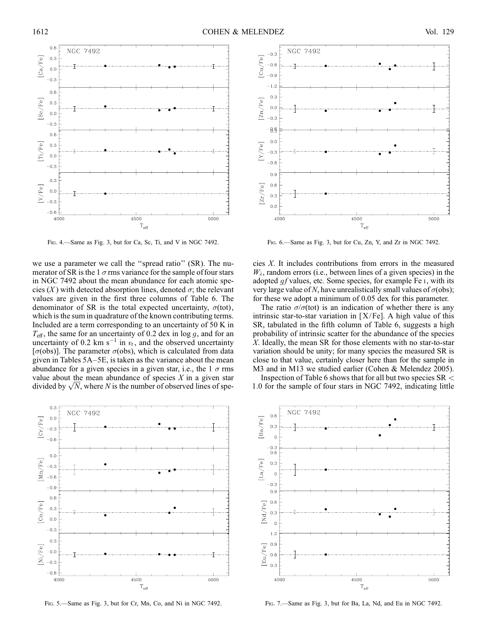

Fig. 4.—Same as Fig. 3, but for Ca, Sc, Ti, and V in NGC 7492. Fig. 6.—Same as Fig. 3, but for Cu, Zn, Y, and Zr in NGC 7492.

we use a parameter we call the ''spread ratio'' (SR). The numerator of SR is the 1  $\sigma$  rms variance for the sample of four stars in NGC 7492 about the mean abundance for each atomic species  $(X)$  with detected absorption lines, denoted  $\sigma$ ; the relevant values are given in the first three columns of Table 6. The denominator of SR is the total expected uncertainty,  $\sigma$ (tot), which is the sum in quadrature of the known contributing terms. Included are a term corresponding to an uncertainty of 50 K in  $T_{\text{eff}}$ , the same for an uncertainty of 0.2 dex in log g, and for an uncertainty of 0.2 km s<sup>-1</sup> in  $v_t$ , and the observed uncertainty [ $\sigma$ (obs)]. The parameter  $\sigma$ (obs), which is calculated from data given in Tables 5A–5E, is taken as the variance about the mean abundance for a given species in a given star, i.e., the  $1 \sigma$  rms value about the mean abundance of species  $X$  in a given star value about the mean abundance of species X in a given star divided by  $\sqrt{N}$ , where N is the number of observed lines of spe-



Fig. 5.—Same as Fig. 3, but for Cr, Mn, Co, and Ni in NGC 7492. Fig. 7.—Same as Fig. 3, but for Ba, La, Nd, and Eu in NGC 7492.



cies X. It includes contributions from errors in the measured  $W_{\lambda}$ , random errors (i.e., between lines of a given species) in the adopted  $q f$  values, etc. Some species, for example Fe  $\mathfrak{q}$ , with its very large value of N, have unrealistically small values of  $\sigma$ (obs); for these we adopt a minimum of 0.05 dex for this parameter.

The ratio  $\sigma/\sigma$ (tot) is an indication of whether there is any intrinsic star-to-star variation in  $[X/Fe]$ . A high value of this SR, tabulated in the fifth column of Table 6, suggests a high probability of intrinsic scatter for the abundance of the species X. Ideally, the mean SR for those elements with no star-to-star variation should be unity; for many species the measured SR is close to that value, certainly closer here than for the sample in M3 and in M13 we studied earlier (Cohen & Melendez 2005).

Inspection of Table 6 shows that for all but two species  $SR <$ 1:0 for the sample of four stars in NGC 7492, indicating little

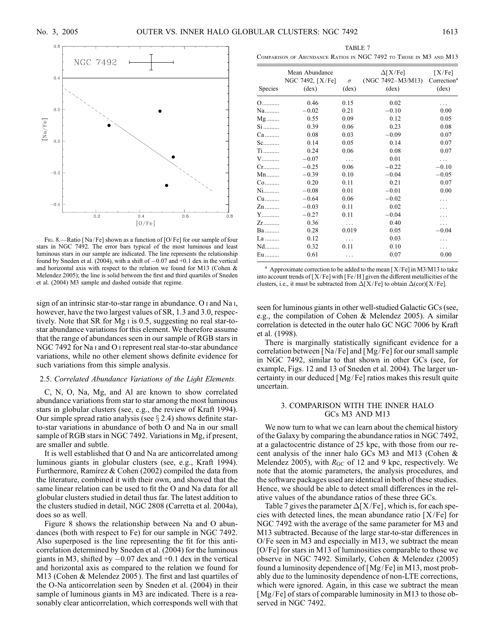

FIG. 8.—Ratio [Na/Fe] shown as a function of [O/Fe] for our sample of four stars in NGC 7492. The error bars typical of the most luminous and least luminous stars in our sample are indicated. The line represents the relationship found by Sneden et al.  $(2004)$ , with a shift of  $-0.07$  and  $+0.1$  dex in the vertical and horizontal axis with respect to the relation we found for M13 (Cohen & Melendez 2005); the line is solid between the first and third quartiles of Sneden et al. (2004) M3 sample and dashed outside that regime.

sign of an intrinsic star-to-star range in abundance. O i and Na i, however, have the two largest values of SR, 1.3 and 3.0, respectively. Note that SR for Mg i is 0.5, suggesting no real star-tostar abundance variations for this element. We therefore assume that the range of abundances seen in our sample of RGB stars in NGC 7492 for Na i and O i represent real star-to-star abundance variations, while no other element shows definite evidence for such variations from this simple analysis.

## 2.5. Correlated Abundance Variations of the Light Elements

C, N, O, Na, Mg, and Al are known to show correlated abundance variations from star to star among the most luminous stars in globular clusters (see, e.g., the review of Kraft 1994). Our simple spread ratio analysis (see  $\S 2.4$ ) shows definite starto-star variations in abundance of both O and Na in our small sample of RGB stars in NGC 7492. Variations in Mg, if present, are smaller and subtle.

It is well established that O and Na are anticorrelated among luminous giants in globular clusters (see, e.g., Kraft 1994). Furthermore, Ramírez & Cohen  $(2002)$  compiled the data from the literature, combined it with their own, and showed that the same linear relation can be used to fit the O and Na data for all globular clusters studied in detail thus far. The latest addition to the clusters studied in detail, NGC 2808 (Carretta et al. 2004a), does so as well.

Figure 8 shows the relationship between Na and O abundances (both with respect to Fe) for our sample in NGC 7492. Also superposed is the line representing the fit for this anticorrelation determined by Sneden et al. (2004) for the luminous giants in M3, shifted by  $-0.07$  dex and  $+0.1$  dex in the vertical and horizontal axis as compared to the relation we found for M13 (Cohen & Melendez 2005 ). The first and last quartiles of the O-Na anticorrelation seen by Sneden et al. (2004) in their sample of luminous giants in M3 are indicated. There is a reasonably clear anticorrelation, which corresponds well with that

| TABLE 7                                                           |  |  |  |                                     |                               |  |  |
|-------------------------------------------------------------------|--|--|--|-------------------------------------|-------------------------------|--|--|
| COMPARISON OF ABUNDANCE RATIOS IN NGC 7492 TO THOSE IN M3 AND M13 |  |  |  |                                     |                               |  |  |
|                                                                   |  |  |  | $A \cap \mathcal{I} \neq \emptyset$ | $F \times F$ ( $F \times T$ ) |  |  |

| Species       | Mean Abundance<br>NGC 7492, [X/Fe]<br>$(\text{dex})$ | $\sigma$<br>$(\text{dex})$ | $\Delta$ [X/Fe]<br>$(NGC 7492 - M3/M13)$<br>$(\text{dex})$ | [X/Fe]<br>Correction <sup>a</sup><br>$(\text{dex})$ |
|---------------|------------------------------------------------------|----------------------------|------------------------------------------------------------|-----------------------------------------------------|
| $O$           | 0.46                                                 | 0.15                       | 0.02                                                       |                                                     |
| Na            | $-0.02$                                              | 0.21                       | $-0.10$                                                    | 0.00                                                |
| $Mg$          | 0.55                                                 | 0.09                       | 0.12                                                       | 0.05                                                |
| $Si$          | 0.39                                                 | 0.06                       | 0.23                                                       | 0.08                                                |
| $Ca$          | 0.08                                                 | 0.03                       | $-0.09$                                                    | 0.07                                                |
| $Sc.$         | 0.14                                                 | 0.05                       | 0.14                                                       | 0.07                                                |
| $Ti$          | 0.24                                                 | 0.06                       | 0.08                                                       | 0.07                                                |
| V             | $-0.07$                                              | .                          | 0.01                                                       | $\cdots$                                            |
| $Cr_{\ldots}$ | $-0.25$                                              | 0.06                       | $-0.22$                                                    | $-0.10$                                             |
| $Mn$          | $-0.39$                                              | 0.10                       | $-0.04$                                                    | $-0.05$                                             |
| $Co$          | 0.20                                                 | 0.11                       | 0.21                                                       | 0.07                                                |
| $N$ i         | $-0.08$                                              | 0.01                       | $-0.01$                                                    | 0.00                                                |
| Cu            | $-0.64$                                              | 0.06                       | $-0.02$                                                    | .                                                   |
| $Zn$          | $-0.03$                                              | 0.11                       | 0.02                                                       |                                                     |
| Y             | $-0.27$                                              | 0.11                       | $-0.04$                                                    |                                                     |
| $Zr$          | 0.36                                                 | .                          | 0.40                                                       | .                                                   |
| $Ba$          | 0.28                                                 | 0.019                      | 0.05                                                       | $-0.04$                                             |
| La            | 0.12                                                 | .                          | 0.03                                                       | .                                                   |
| $Nd$          | 0.32                                                 | 0.11                       | 0.10                                                       | .                                                   |
| Eu            | 0.61                                                 | .                          | 0.07                                                       | 0.00                                                |

<sup>a</sup> Approximate correction to be added to the mean  $[X/Fe]$  in M3/M13 to take into account trends of  $[X/Fe]$  with  $[Fe/H]$  given the different metallicities of the clusters, i.e., it must be subtracted from  $\Delta[X/Fe]$  to obtain  $\Delta(\text{cor})[X/Fe]$ .

seen for luminous giants in other well-studied Galactic GCs (see, e.g., the compilation of Cohen & Melendez 2005). A similar correlation is detected in the outer halo GC NGC 7006 by Kraft et al. (1998).

There is marginally statistically significant evidence for a correlation between [Na/Fe] and [Mg/ Fe] for our small sample in NGC 7492, similar to that shown in other GCs (see, for example, Figs. 12 and 13 of Sneden et al. 2004). The larger uncertainty in our deduced [Mg/ Fe] ratios makes this result quite uncertain.

## 3. COMPARISON WITH THE INNER HALO GCs M3 AND M13

We now turn to what we can learn about the chemical history of the Galaxy by comparing the abundance ratios in NGC 7492, at a galactocentric distance of 25 kpc, with those from our recent analysis of the inner halo GCs M3 and M13 (Cohen & Melendez 2005), with  $R_{GC}$  of 12 and 9 kpc, respectively. We note that the atomic parameters, the analysis procedures, and the software packages used are identical in both of these studies. Hence, we should be able to detect small differences in the relative values of the abundance ratios of these three GCs.

Table 7 gives the parameter  $\Delta$ [X/Fe], which is, for each species with detected lines, the mean abundance ratio  $[X/Fe]$  for NGC 7492 with the average of the same parameter for M3 and M13 subtracted. Because of the large star-to-star differences in  $O/Fe$  seen in M3 and especially in M13, we subtract the mean [O/ Fe] for stars in M13 of luminosities comparable to those we observe in NGC 7492. Similarly, Cohen & Melendez (2005) found a luminosity dependence of [Mg/Fe] in M13, most probably due to the luminosity dependence of non-LTE corrections, which were ignored. Again, in this case we subtract the mean [Mg/Fe] of stars of comparable luminosity in M13 to those observed in NGC 7492.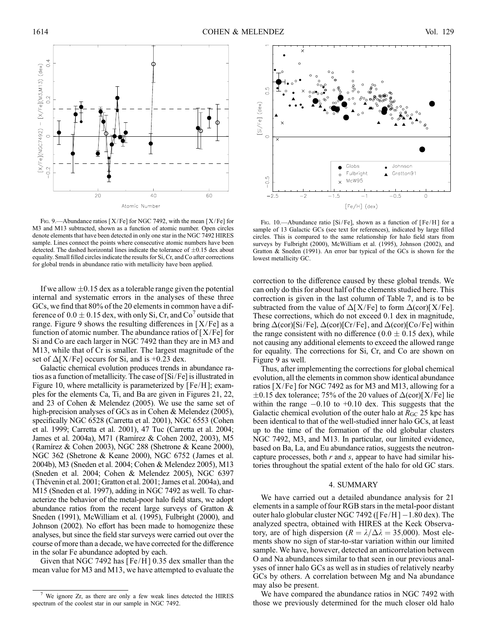

FIG. 9.—Abundance ratios [X/Fe] for NGC 7492, with the mean [X/Fe] for M3 and M13 subtracted, shown as a function of atomic number. Open circles denote elements that have been detected in only one star in the NGC 7492 HIRES sample. Lines connect the points where consecutive atomic numbers have been detected. The dashed horizontal lines indicate the tolerance of  $\pm 0.15$  dex about equality. Small filled circles indicate the results for Si, Cr, and Co after corrections for global trends in abundance ratio with metallicity have been applied.

If we allow  $\pm 0.15$  dex as a tolerable range given the potential internal and systematic errors in the analyses of these three GCs, we find that 80% of the 20 elements in common have a difference of  $0.0 \pm 0.15$  dex, with only Si, Cr, and Co<sup> $\prime$ </sup> outside that range. Figure 9 shows the resulting differences in  $[X/Fe]$  as a function of atomic number. The abundance ratios of  $[X/Fe]$  for Si and Co are each larger in NGC 7492 than they are in M3 and M13, while that of Cr is smaller. The largest magnitude of the set of  $\Delta$ [X/Fe] occurs for Si, and is +0.23 dex.

Galactic chemical evolution produces trends in abundance ratios as a function of metallicity. The case of [Si/Fe] is illustrated in Figure 10, where metallicity is parameterized by [Fe/H]; examples for the elements Ca, Ti, and Ba are given in Figures 21, 22, and 23 of Cohen & Melendez (2005). We use the same set of high-precision analyses of GCs as in Cohen & Melendez (2005), specifically NGC 6528 (Carretta et al. 2001), NGC 6553 (Cohen et al. 1999; Carretta et al. 2001), 47 Tuc (Carretta et al. 2004; James et al. 2004a), M71 (Ramı´rez & Cohen 2002, 2003), M5 (Ramı´rez & Cohen 2003), NGC 288 (Shetrone & Keane 2000), NGC 362 (Shetrone & Keane 2000), NGC 6752 (James et al. 2004b), M3 (Sneden et al. 2004; Cohen & Melendez 2005), M13 (Sneden et al. 2004; Cohen & Melendez 2005), NGC 6397 (Thévenin et al. 2001; Gratton et al. 2001; James et al. 2004a), and M15 (Sneden et al. 1997), adding in NGC 7492 as well. To characterize the behavior of the metal-poor halo field stars, we adopt abundance ratios from the recent large surveys of Gratton & Sneden (1991), McWilliam et al. (1995), Fulbright (2000), and Johnson (2002). No effort has been made to homogenize these analyses, but since the field star surveys were carried out over the course of more than a decade, we have corrected for the difference in the solar Fe abundance adopted by each.

Given that NGC 7492 has  $[Fe/H]$  0.35 dex smaller than the mean value for M3 and M13, we have attempted to evaluate the



Fig. 10.—Abundance ratio [Si/Fe], shown as a function of [Fe/H] for a sample of 13 Galactic GCs (see text for references), indicated by large filled circles. This is compared to the same relationship for halo field stars from surveys by Fulbright (2000), McWilliam et al. (1995), Johnson (2002), and Gratton & Sneden (1991). An error bar typical of the GCs is shown for the lowest metallicity GC.

correction to the difference caused by these global trends. We can only do this for about half of the elements studied here. This correction is given in the last column of Table 7, and is to be subtracted from the value of  $\Delta$ [X/Fe] to form  $\Delta$ (cor)[X/Fe]. These corrections, which do not exceed 0.1 dex in magnitude, bring  $\Delta$ (cor)[Si/Fe],  $\Delta$ (cor)[Cr/Fe], and  $\Delta$ (cor)[Co/Fe] within the range consistent with no difference ( $0.0 \pm 0.15$  dex), while not causing any additional elements to exceed the allowed range for equality. The corrections for Si, Cr, and Co are shown on Figure 9 as well.

Thus, after implementing the corrections for global chemical evolution, all the elements in common show identical abundance ratios  $[X/Fe]$  for NGC 7492 as for M3 and M13, allowing for a  $\pm 0.15$  dex tolerance; 75% of the 20 values of  $\Delta$ (cor)[X/Fe] lie within the range  $-0.10$  to  $+0.10$  dex. This suggests that the Galactic chemical evolution of the outer halo at  $R_{\rm GC}$  25 kpc has been identical to that of the well-studied inner halo GCs, at least up to the time of the formation of the old globular clusters NGC 7492, M3, and M13. In particular, our limited evidence, based on Ba, La, and Eu abundance ratios, suggests the neutroncapture processes, both  $r$  and  $s$ , appear to have had similar histories throughout the spatial extent of the halo for old GC stars.

## 4. SUMMARY

We have carried out a detailed abundance analysis for 21 elements in a sample of four RGB stars in the metal-poor distant outer halo globular cluster NGC 7492 ( $[Fe/H] - 1.80$  dex). The analyzed spectra, obtained with HIRES at the Keck Observatory, are of high dispersion ( $R = \lambda/\Delta\lambda = 35,000$ ). Most elements show no sign of star-to-star variation within our limited sample. We have, however, detected an anticorrelation between O and Na abundances similar to that seen in our previous analyses of inner halo GCs as well as in studies of relatively nearby GCs by others. A correlation between Mg and Na abundance may also be present.

We have compared the abundance ratios in NGC 7492 with those we previously determined for the much closer old halo

We ignore Zr, as there are only a few weak lines detected the HIRES spectrum of the coolest star in our sample in NGC 7492.